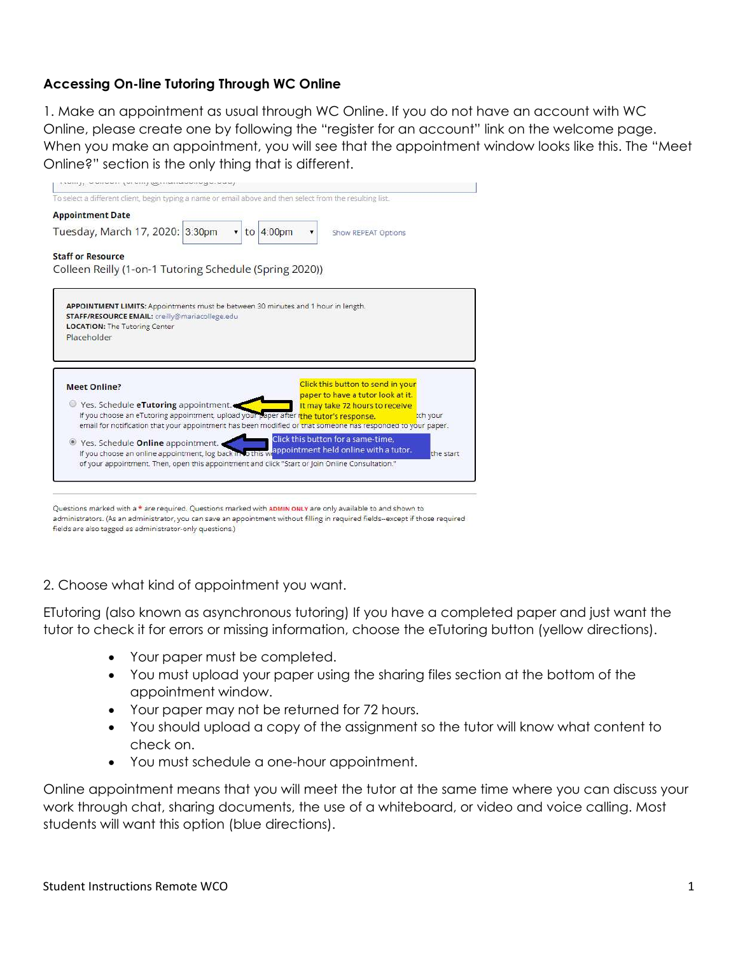## Accessing On-line Tutoring Through WC Online

1. Make an appointment as usual through WC Online. If you do not have an account with WC Online, please create one by following the "register for an account" link on the welcome page. When you make an appointment, you will see that the appointment window looks like this. The "Meet Online?" section is the only thing that is different.



administrators. (As an administrator, you can save an appointment without filling in required fields-except if those required fields are also tagged as administrator-only questions.)

2. Choose what kind of appointment you want.

ETutoring (also known as asynchronous tutoring) If you have a completed paper and just want the tutor to check it for errors or missing information, choose the eTutoring button (yellow directions).

- Your paper must be completed.
- You must upload your paper using the sharing files section at the bottom of the appointment window.
- Your paper may not be returned for 72 hours.
- You should upload a copy of the assignment so the tutor will know what content to check on.
- You must schedule a one-hour appointment.

Online appointment means that you will meet the tutor at the same time where you can discuss your work through chat, sharing documents, the use of a whiteboard, or video and voice calling. Most students will want this option (blue directions).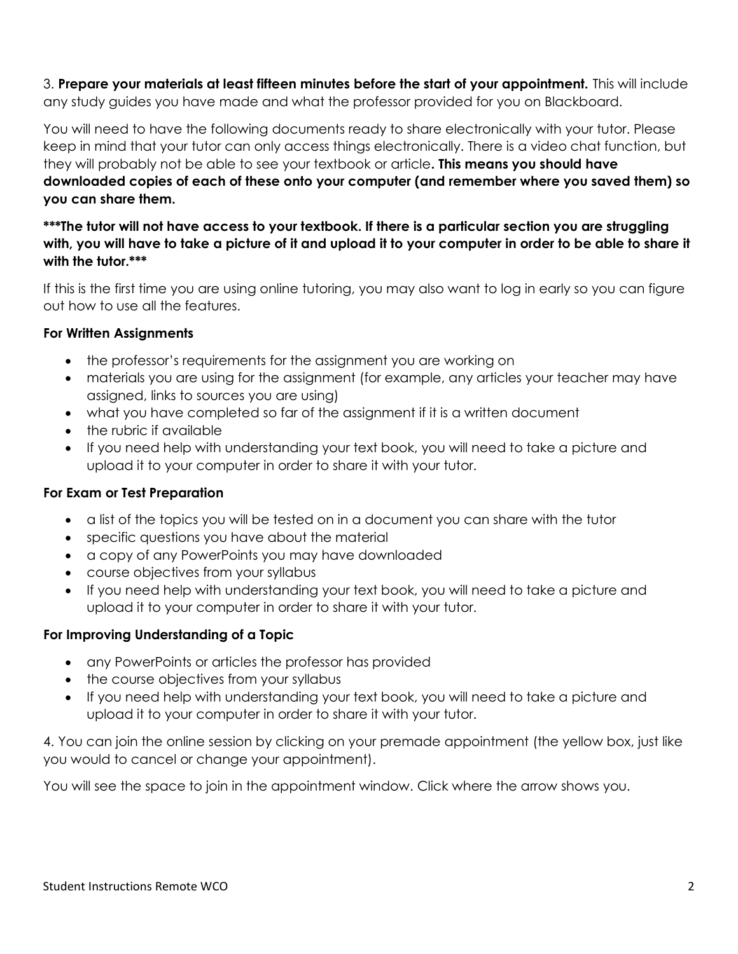3. Prepare your materials at least fifteen minutes before the start of your appointment. This will include any study guides you have made and what the professor provided for you on Blackboard.

You will need to have the following documents ready to share electronically with your tutor. Please keep in mind that your tutor can only access things electronically. There is a video chat function, but they will probably not be able to see your textbook or article. This means you should have downloaded copies of each of these onto your computer (and remember where you saved them) so you can share them.

\*\*\*The tutor will not have access to your textbook. If there is a particular section you are struggling with, you will have to take a picture of it and upload it to your computer in order to be able to share it with the tutor.\*\*\*

If this is the first time you are using online tutoring, you may also want to log in early so you can figure out how to use all the features.

## For Written Assignments

- the professor's requirements for the assignment you are working on
- materials you are using for the assignment (for example, any articles your teacher may have assigned, links to sources you are using)
- what you have completed so far of the assignment if it is a written document
- the rubric if available
- If you need help with understanding your text book, you will need to take a picture and upload it to your computer in order to share it with your tutor.

## For Exam or Test Preparation

- a list of the topics you will be tested on in a document you can share with the tutor
- specific questions you have about the material
- a copy of any PowerPoints you may have downloaded
- course objectives from your syllabus
- If you need help with understanding your text book, you will need to take a picture and upload it to your computer in order to share it with your tutor.

# For Improving Understanding of a Topic

- any PowerPoints or articles the professor has provided
- the course objectives from your syllabus
- If you need help with understanding your text book, you will need to take a picture and upload it to your computer in order to share it with your tutor.

4. You can join the online session by clicking on your premade appointment (the yellow box, just like you would to cancel or change your appointment).

You will see the space to join in the appointment window. Click where the arrow shows you.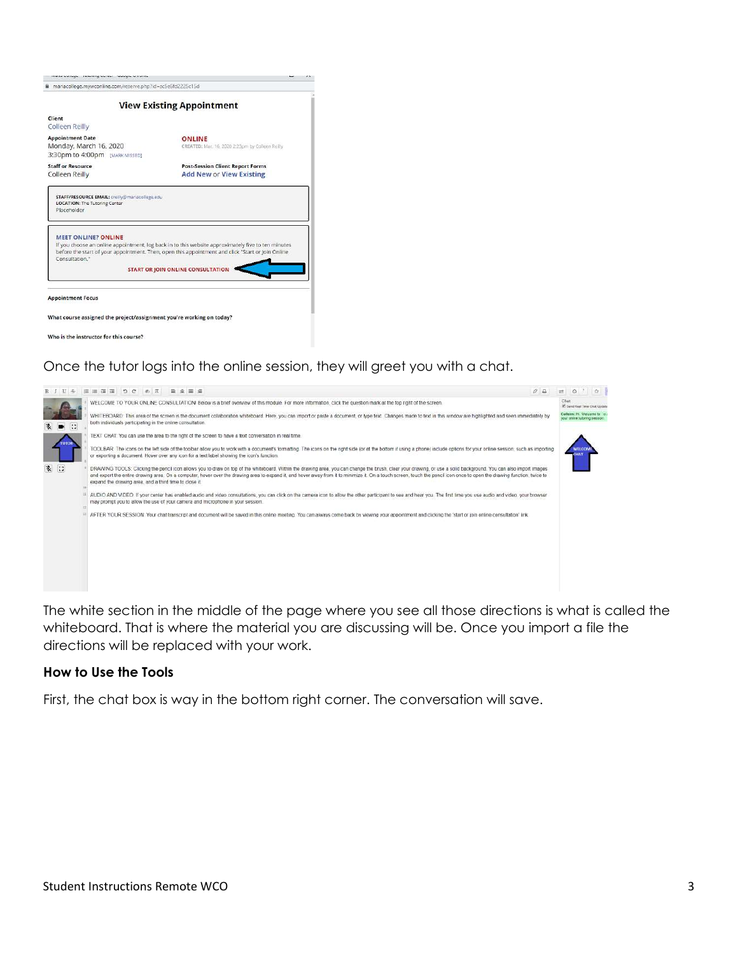| mariacollege.mywconline.com/reserve.php?id=sc5e6fd2225c15d                                            |                                                                            |  |
|-------------------------------------------------------------------------------------------------------|----------------------------------------------------------------------------|--|
|                                                                                                       | <b>View Existing Appointment</b>                                           |  |
| Client<br>Colleen Reilly                                                                              |                                                                            |  |
| <b>Appointment Date</b><br>Monday, March 16, 2020<br>3:30pm to 4:00pm [MARK MISSED]                   | <b>ONLINE</b><br>CREATED: Mar. 16, 2020 2:23pm by Colleen Reilly           |  |
| <b>Staff or Resource</b><br>Colleen Reilly                                                            | <b>Post-Session Client Report Forms</b><br><b>Add New or View Existing</b> |  |
| STAFF/RESOURCE EMAIL: creilly@mariacollege.edu<br><b>LOCATION:</b> The Tutoring Center<br>Placeholder |                                                                            |  |
|                                                                                                       |                                                                            |  |

What course assigned the project/assignment you're working on today?

Who is the instructor for this course?

## Once the tutor logs into the online session, they will greet you with a chat.



The white section in the middle of the page where you see all those directions is what is called the whiteboard. That is where the material you are discussing will be. Once you import a file the directions will be replaced with your work.

### How to Use the Tools

First, the chat box is way in the bottom right corner. The conversation will save.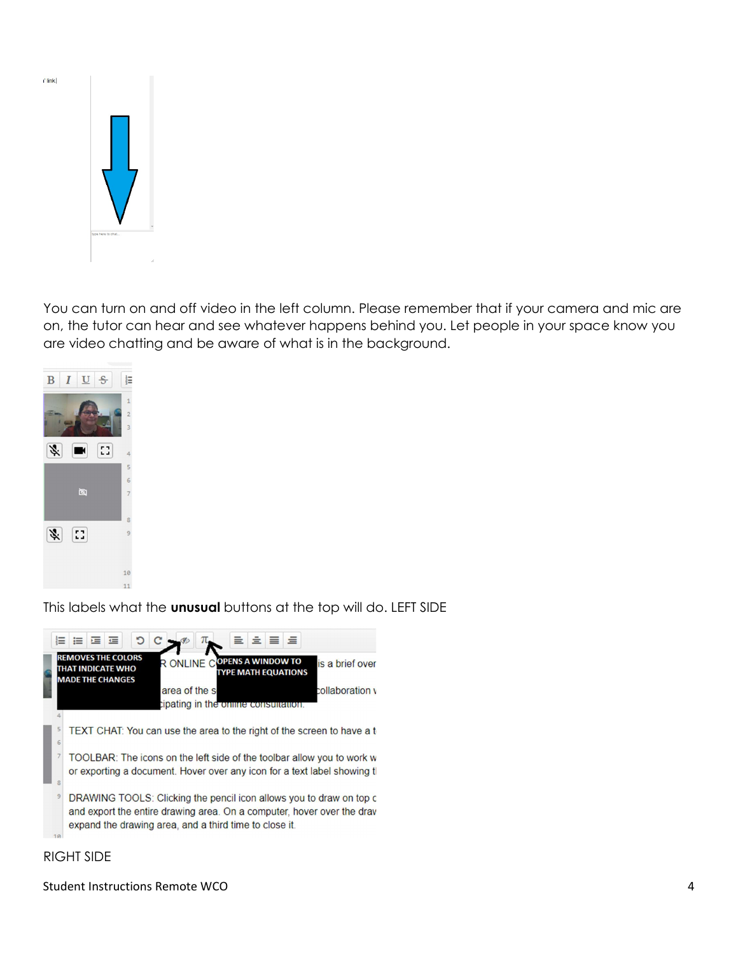

 $\mathbf{r}$  link

You can turn on and off video in the left column. Please remember that if your camera and mic are on, the tutor can hear and see whatever happens behind you. Let people in your space know you are video chatting and be aware of what is in the background.



This labels what the **unusual** buttons at the top will do. LEFT SIDE



### RIGHT SIDE

Student Instructions Remote WCO 4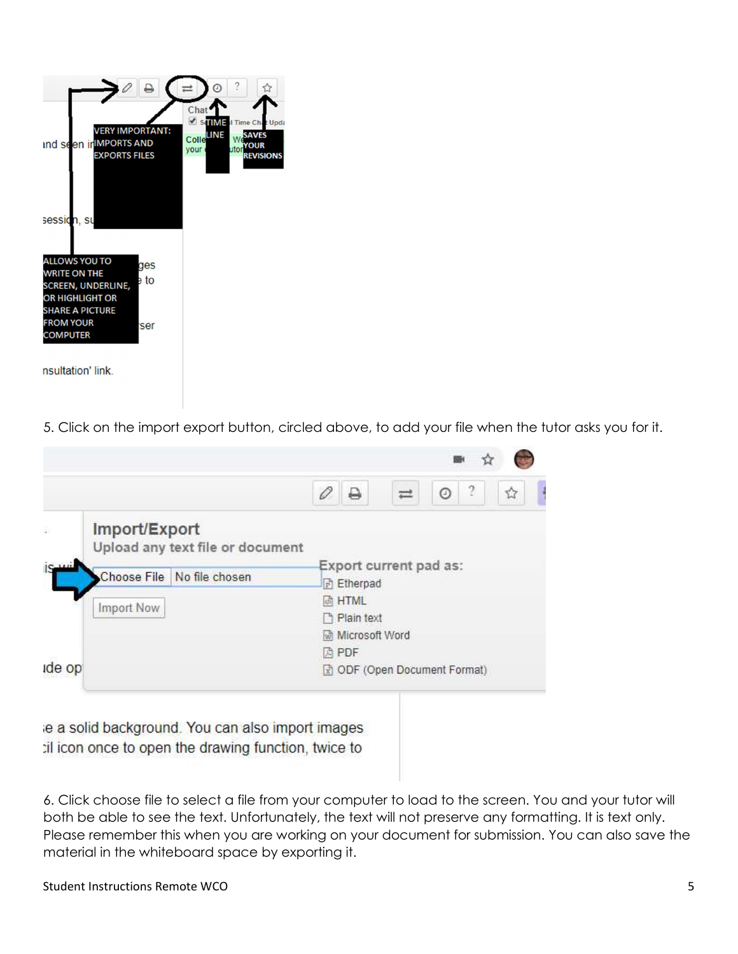

nsultation' link.

5. Click on the import export button, circled above, to add your file when the tutor asks you for it.

| Import/Export<br>Upload any text file or document |                                       |
|---------------------------------------------------|---------------------------------------|
| Choose File No file chosen                        | Export current pad as:                |
|                                                   | <b>Etherpad</b>                       |
| Import Now                                        | <b><i>&amp;</i></b> HTML              |
|                                                   | h Plain text<br><b>Microsoft Word</b> |
|                                                   | <b>角 PDF</b>                          |
| ide op                                            | ODF (Open Document Format)            |

6. Click choose file to select a file from your computer to load to the screen. You and your tutor will both be able to see the text. Unfortunately, the text will not preserve any formatting. It is text only. Please remember this when you are working on your document for submission. You can also save the material in the whiteboard space by exporting it.